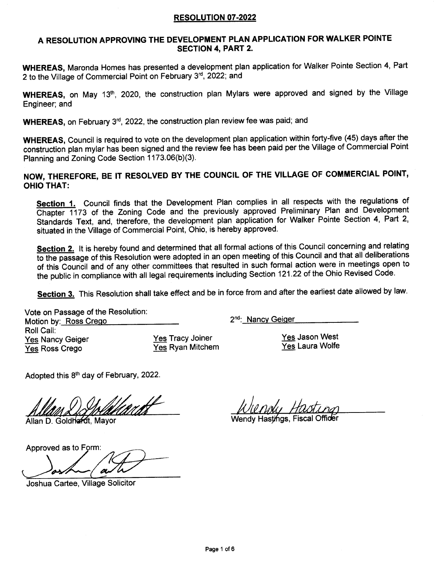# A RESOLUTION APPROVING THE DEVELOPMENT PLAN APPLICATION FOR WALKER POINTE SECTION 4, PART 2.

WHEREAS, Maronda Homes has presented a development plan application for Walker Pointe Section 4, Pari 2 to the Village of Commercial Point on February 3rd, 2022; and

WHEREAS, on May 13<sup>th</sup>, 2020, the construction plan Mylars were approved and signed by the Village Engineer; and

WHEREAS, on February 3<sup>rd</sup>, 2022, the construction plan review fee was paid; and

WHEREAS, Council is required to vote on the development plan application within forty-five (45) days after the construction plan mylar has been signed and the review fee has been paid per the Village of Commercial Point Planning and Zoning Code Section 1173.06(b)(3).

NOW, THEREFORE, BE IT RESOLVED BY THE GOUNCIL OF THE VILLAGE OF COMMERCIAL POINT' OHIO THAT:

Section 1. Council finds that the Development Plan complies in all respects with the regulations of Chapter 1173 of the Zoning Code and the previously approved Preliminary Plan and Development Standards Text, and, therefore, the development plan application for Walker Pointe Section 4, Part 2, situated in the Village of Commercial Point, Ohio, is hereby approved.

Section 2. It is hereby found and determined that all formal actions of this Council concerning and relating to the passage of this Resolution were adopted in an open meeting of this Council and that all deliberations of this Council and of any other committees that resulted in such formal action were in meetings open to the public in compliance with all legal requirements including Section 121.22 of the Ohio Revised Code.

Section 3. This Resolution shall take effect and be in force from and after the earliest date allowed by law.

Vote on Passage of the Resolution Motion by: Ross Crego Roll Call: Yes Nancy Geiger Yes Ross Crego

Yes Tracy Joiner Yes Ryan Mitchem Yes Jason West

Yes Laura Wolfe

Adopted this 8th day of February, 2022.

Allan D. Goldhardt, Mavor

Approved as to

Joshua Cartee, Village Solicitor

Wendy Hastings. Fiscal Officer

2<sup>nd</sup>: Nancy Geiger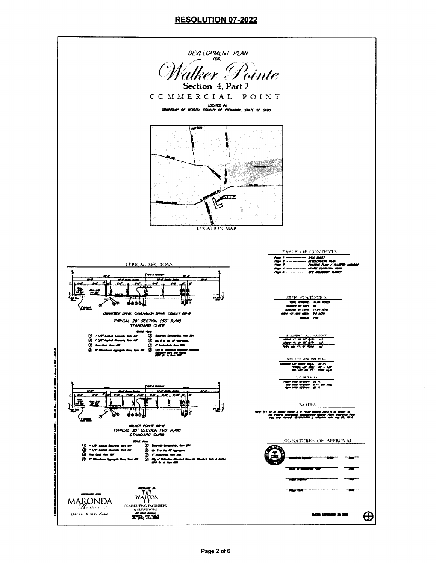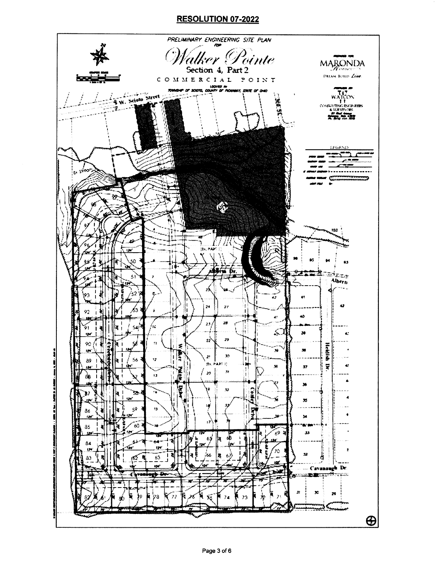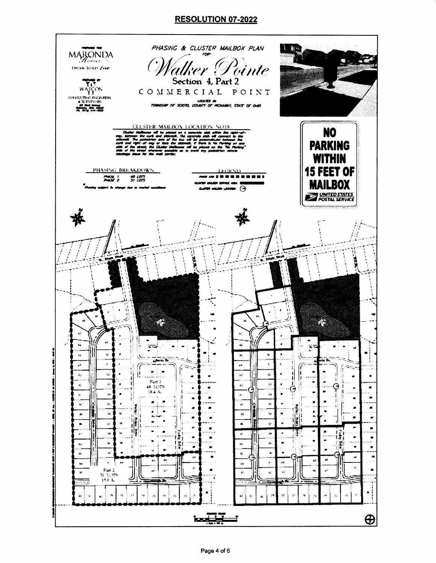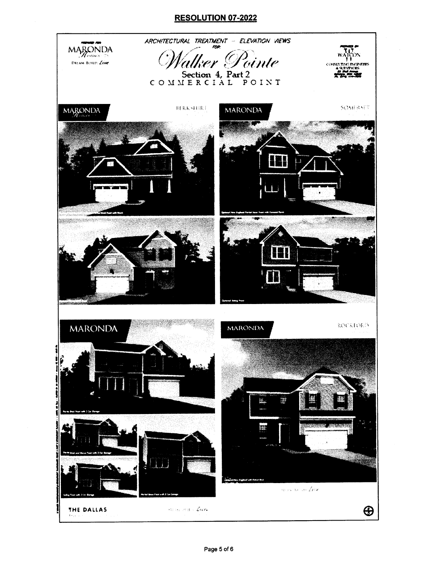